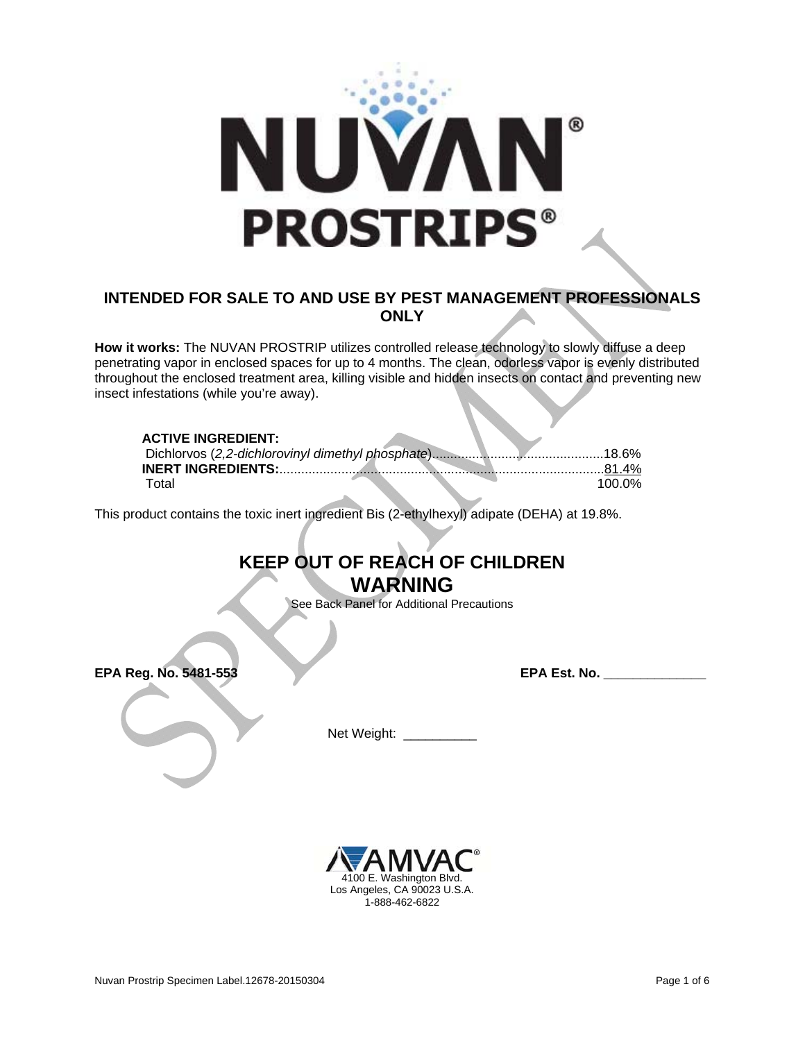

## **INTENDED FOR SALE TO AND USE BY PEST MANAGEMENT PROFESSIONALS ONLY**

**How it works:** The NUVAN PROSTRIP utilizes controlled release technology to slowly diffuse a deep penetrating vapor in enclosed spaces for up to 4 months. The clean, odorless vapor is evenly distributed throughout the enclosed treatment area, killing visible and hidden insects on contact and preventing new insect infestations (while you're away).

#### **ACTIVE INGREDIENT:**

|  | .81.4% |
|--|--------|
|  | 100 0% |

This product contains the toxic inert ingredient Bis (2-ethylhexyl) adipate (DEHA) at 19.8%.

## **KEEP OUT OF REACH OF CHILDREN WARNING**

See Back Panel for Additional Precautions

**EPA Reg. No. 5481-553 EPA Est. No. \_\_\_\_\_\_\_\_\_\_\_\_\_\_** 

Net Weight:

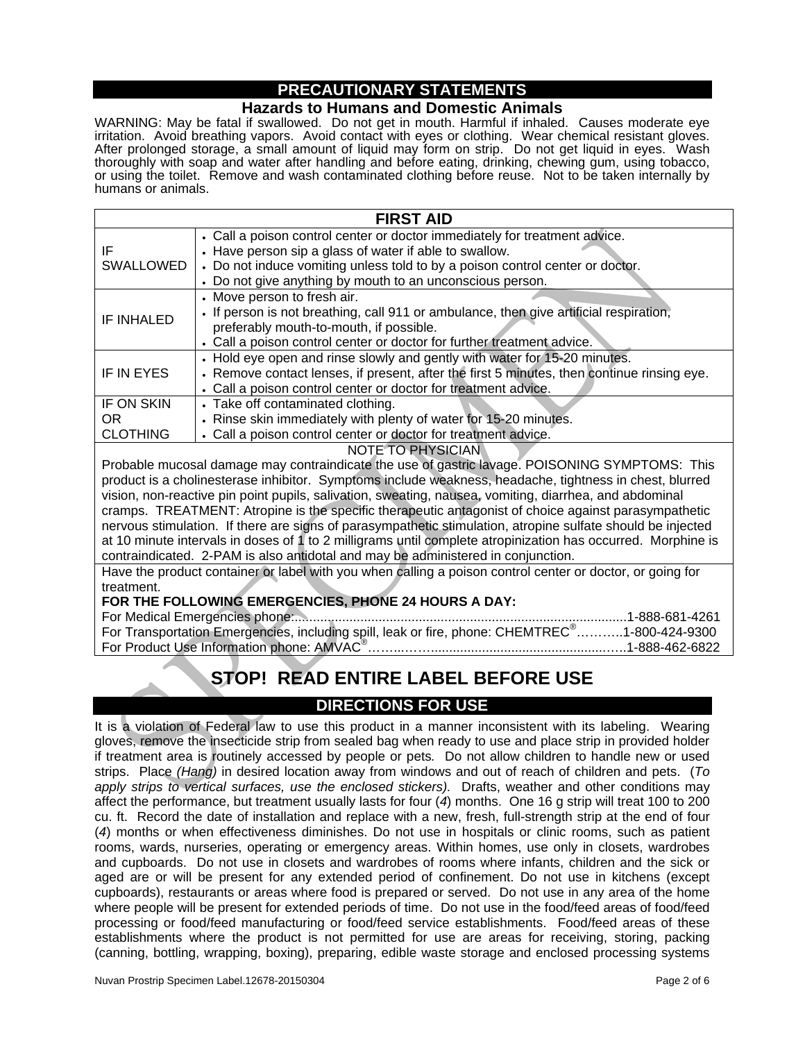## **PRECAUTIONARY STATEMENTS**

### **Hazards to Humans and Domestic Animals**

WARNING: May be fatal if swallowed. Do not get in mouth. Harmful if inhaled. Causes moderate eye irritation. Avoid breathing vapors. Avoid contact with eyes or clothing. Wear chemical resistant gloves. After prolonged storage, a small amount of liquid may form on strip. Do not get liquid in eyes. Wash thoroughly with soap and water after handling and before eating, drinking, chewing gum, using tobacco, or using the toilet. Remove and wash contaminated clothing before reuse. Not to be taken internally by humans or animals.

| <b>FIRST AID</b>  |                                                                                                                                                                                                                                                                                    |  |
|-------------------|------------------------------------------------------------------------------------------------------------------------------------------------------------------------------------------------------------------------------------------------------------------------------------|--|
| ΙF<br>SWALLOWED   | • Call a poison control center or doctor immediately for treatment advice.<br>• Have person sip a glass of water if able to swallow.<br>• Do not induce vomiting unless told to by a poison control center or doctor.<br>• Do not give anything by mouth to an unconscious person. |  |
| IF INHALED        | • Move person to fresh air.<br>. If person is not breathing, call 911 or ambulance, then give artificial respiration,<br>preferably mouth-to-mouth, if possible.<br>• Call a poison control center or doctor for further treatment advice.                                         |  |
| IF IN EYES        | • Hold eye open and rinse slowly and gently with water for 15-20 minutes.<br>• Remove contact lenses, if present, after the first 5 minutes, then continue rinsing eye.<br>• Call a poison control center or doctor for treatment advice.                                          |  |
| IF ON SKIN        | • Take off contaminated clothing.                                                                                                                                                                                                                                                  |  |
| OR.               | • Rinse skin immediately with plenty of water for 15-20 minutes.                                                                                                                                                                                                                   |  |
| <b>CLOTHING</b>   | • Call a poison control center or doctor for treatment advice.                                                                                                                                                                                                                     |  |
| MOTE TO DUVCICIAN |                                                                                                                                                                                                                                                                                    |  |

NOTE TO PHYSICIAN

Probable mucosal damage may contraindicate the use of gastric lavage. POISONING SYMPTOMS: This product is a cholinesterase inhibitor. Symptoms include weakness, headache, tightness in chest, blurred vision, non-reactive pin point pupils, salivation, sweating, nausea, vomiting, diarrhea, and abdominal cramps. TREATMENT: Atropine is the specific therapeutic antagonist of choice against parasympathetic nervous stimulation. If there are signs of parasympathetic stimulation, atropine sulfate should be injected at 10 minute intervals in doses of 1 to 2 milligrams until complete atropinization has occurred. Morphine is contraindicated. 2-PAM is also antidotal and may be administered in conjunction.

Have the product container or label with you when calling a poison control center or doctor, or going for treatment.

#### **FOR THE FOLLOWING EMERGENCIES, PHONE 24 HOURS A DAY:**

For Medical Emergencies phone:...........................................................................................1-888-681-4261 For Transportation Emergencies, including spill, leak or fire, phone: CHEMTREC<sup>®</sup>...........1-800-424-9300 For Product Use Information phone: AMVAC® ……...……................................................…..1-888-462-6822

# **STOP! READ ENTIRE LABEL BEFORE USE**

## **DIRECTIONS FOR USE**

It is a violation of Federal law to use this product in a manner inconsistent with its labeling. Wearing gloves, remove the insecticide strip from sealed bag when ready to use and place strip in provided holder if treatment area is routinely accessed by people or pets*.* Do not allow children to handle new or used strips. Place *(Hang)* in desired location away from windows and out of reach of children and pets. (*To apply strips to vertical surfaces, use the enclosed stickers).* Drafts, weather and other conditions may affect the performance, but treatment usually lasts for four (*4*) months. One 16 g strip will treat 100 to 200 cu. ft.Record the date of installation and replace with a new, fresh, full-strength strip at the end of four (*4*) months or when effectiveness diminishes. Do not use in hospitals or clinic rooms, such as patient rooms, wards, nurseries, operating or emergency areas. Within homes, use only in closets, wardrobes and cupboards. Do not use in closets and wardrobes of rooms where infants, children and the sick or aged are or will be present for any extended period of confinement. Do not use in kitchens (except cupboards), restaurants or areas where food is prepared or served. Do not use in any area of the home where people will be present for extended periods of time. Do not use in the food/feed areas of food/feed processing or food/feed manufacturing or food/feed service establishments. Food/feed areas of these establishments where the product is not permitted for use are areas for receiving, storing, packing (canning, bottling, wrapping, boxing), preparing, edible waste storage and enclosed processing systems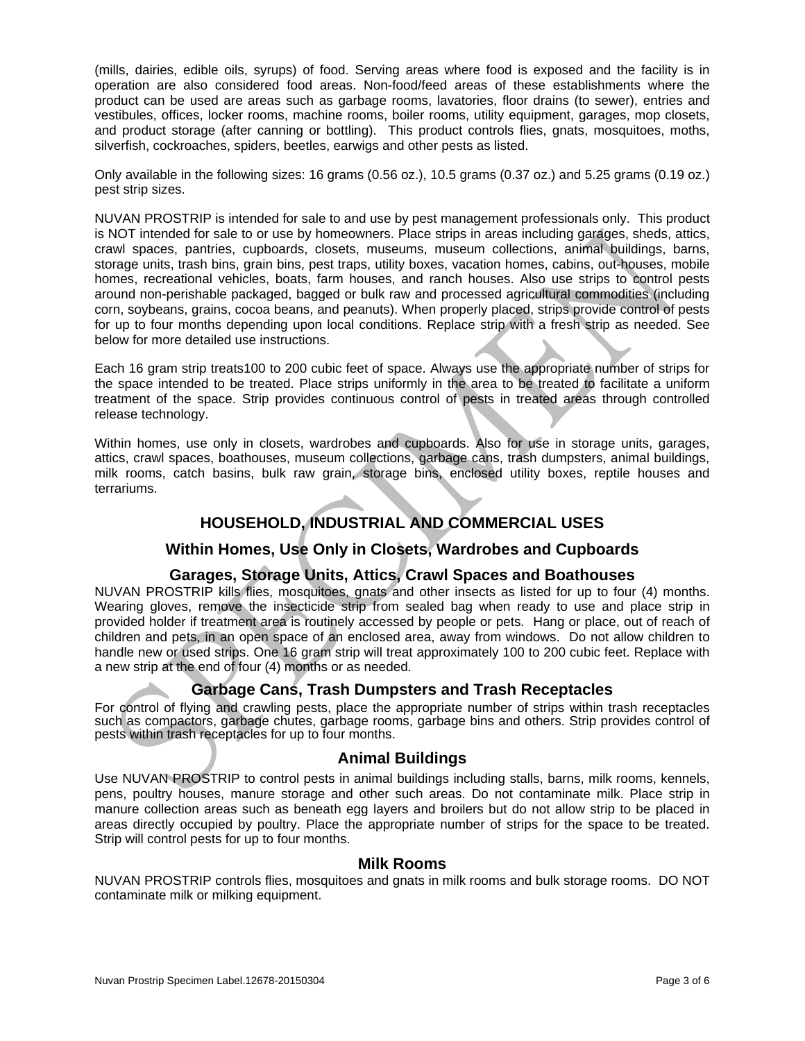(mills, dairies, edible oils, syrups) of food. Serving areas where food is exposed and the facility is in operation are also considered food areas. Non-food/feed areas of these establishments where the product can be used are areas such as garbage rooms, lavatories, floor drains (to sewer), entries and vestibules, offices, locker rooms, machine rooms, boiler rooms, utility equipment, garages, mop closets, and product storage (after canning or bottling). This product controls flies, gnats, mosquitoes, moths, silverfish, cockroaches, spiders, beetles, earwigs and other pests as listed.

Only available in the following sizes: 16 grams (0.56 oz.), 10.5 grams (0.37 oz.) and 5.25 grams (0.19 oz.) pest strip sizes.

NUVAN PROSTRIP is intended for sale to and use by pest management professionals only. This product is NOT intended for sale to or use by homeowners. Place strips in areas including garages, sheds, attics, crawl spaces, pantries, cupboards, closets, museums, museum collections, animal buildings, barns, storage units, trash bins, grain bins, pest traps, utility boxes, vacation homes, cabins, out-houses, mobile homes, recreational vehicles, boats, farm houses, and ranch houses. Also use strips to control pests around non-perishable packaged, bagged or bulk raw and processed agricultural commodities (including corn, soybeans, grains, cocoa beans, and peanuts). When properly placed, strips provide control of pests for up to four months depending upon local conditions. Replace strip with a fresh strip as needed. See below for more detailed use instructions.

Each 16 gram strip treats100 to 200 cubic feet of space. Always use the appropriate number of strips for the space intended to be treated. Place strips uniformly in the area to be treated to facilitate a uniform treatment of the space. Strip provides continuous control of pests in treated areas through controlled release technology.

Within homes, use only in closets, wardrobes and cupboards. Also for use in storage units, garages, attics, crawl spaces, boathouses, museum collections, garbage cans, trash dumpsters, animal buildings, milk rooms, catch basins, bulk raw grain, storage bins, enclosed utility boxes, reptile houses and terrariums.

## **HOUSEHOLD, INDUSTRIAL AND COMMERCIAL USES**

## **Within Homes, Use Only in Closets, Wardrobes and Cupboards**

## **Garages, Storage Units, Attics, Crawl Spaces and Boathouses**

NUVAN PROSTRIP kills flies, mosquitoes, gnats and other insects as listed for up to four (4) months. Wearing gloves, remove the insecticide strip from sealed bag when ready to use and place strip in provided holder if treatment area is routinely accessed by people or pets*.* Hang or place, out of reach of children and pets, in an open space of an enclosed area, away from windows. Do not allow children to handle new or used strips. One 16 gram strip will treat approximately 100 to 200 cubic feet. Replace with a new strip at the end of four (4) months or as needed.

## **Garbage Cans, Trash Dumpsters and Trash Receptacles**

For control of flying and crawling pests, place the appropriate number of strips within trash receptacles such as compactors, garbage chutes, garbage rooms, garbage bins and others. Strip provides control of pests within trash receptacles for up to four months.

#### **Animal Buildings**

Use NUVAN PROSTRIP to control pests in animal buildings including stalls, barns, milk rooms, kennels, pens, poultry houses, manure storage and other such areas. Do not contaminate milk. Place strip in manure collection areas such as beneath egg layers and broilers but do not allow strip to be placed in areas directly occupied by poultry. Place the appropriate number of strips for the space to be treated. Strip will control pests for up to four months.

#### **Milk Rooms**

NUVAN PROSTRIP controls flies, mosquitoes and gnats in milk rooms and bulk storage rooms. DO NOT contaminate milk or milking equipment.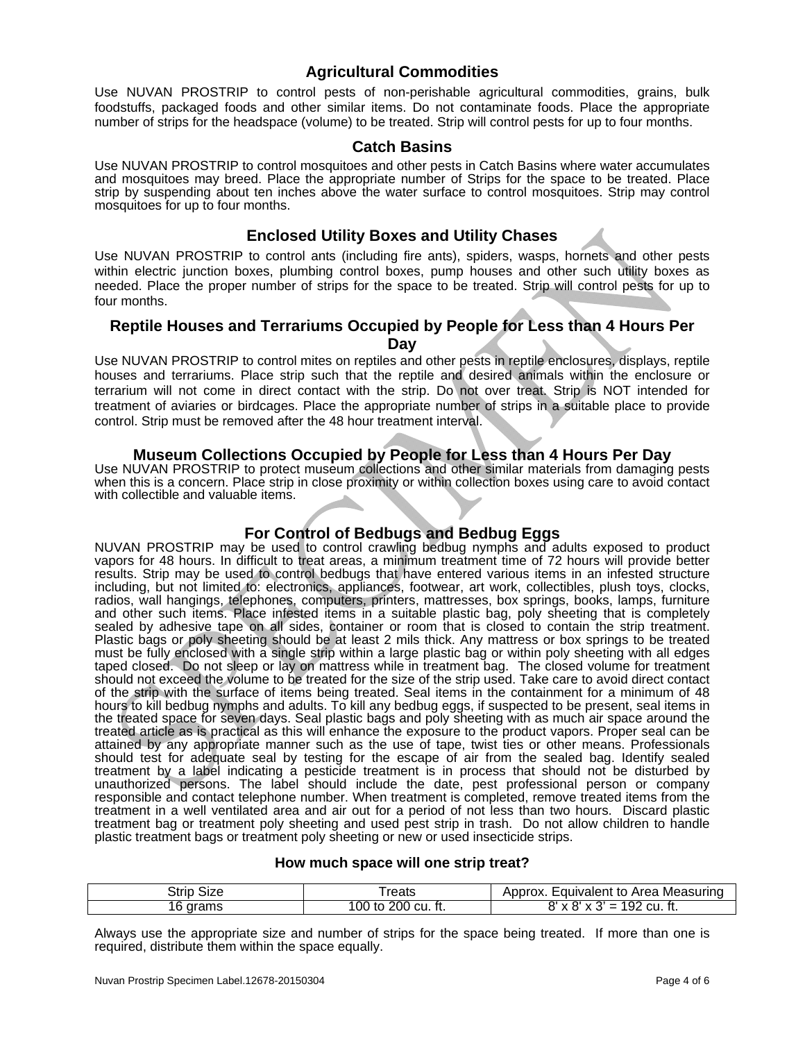## **Agricultural Commodities**

Use NUVAN PROSTRIP to control pests of non-perishable agricultural commodities, grains, bulk foodstuffs, packaged foods and other similar items. Do not contaminate foods. Place the appropriate number of strips for the headspace (volume) to be treated. Strip will control pests for up to four months.

#### **Catch Basins**

Use NUVAN PROSTRIP to control mosquitoes and other pests in Catch Basins where water accumulates and mosquitoes may breed. Place the appropriate number of Strips for the space to be treated. Place strip by suspending about ten inches above the water surface to control mosquitoes. Strip may control mosquitoes for up to four months.

#### **Enclosed Utility Boxes and Utility Chases**

Use NUVAN PROSTRIP to control ants (including fire ants), spiders, wasps, hornets and other pests within electric junction boxes, plumbing control boxes, pump houses and other such utility boxes as needed. Place the proper number of strips for the space to be treated. Strip will control pests for up to four months.

## **Reptile Houses and Terrariums Occupied by People for Less than 4 Hours Per**

**Day** 

Use NUVAN PROSTRIP to control mites on reptiles and other pests in reptile enclosures, displays, reptile houses and terrariums. Place strip such that the reptile and desired animals within the enclosure or terrarium will not come in direct contact with the strip. Do not over treat. Strip is NOT intended for treatment of aviaries or birdcages. Place the appropriate number of strips in a suitable place to provide control. Strip must be removed after the 48 hour treatment interval.

#### **Museum Collections Occupied by People for Less than 4 Hours Per Day**

Use NUVAN PROSTRIP to protect museum collections and other similar materials from damaging pests when this is a concern. Place strip in close proximity or within collection boxes using care to avoid contact with collectible and valuable items.

## **For Control of Bedbugs and Bedbug Eggs**

NUVAN PROSTRIP may be used to control crawling bedbug nymphs and adults exposed to product vapors for 48 hours. In difficult to treat areas, a minimum treatment time of 72 hours will provide better results. Strip may be used to control bedbugs that have entered various items in an infested structure including, but not limited to: electronics, appliances, footwear, art work, collectibles, plush toys, clocks, radios, wall hangings, telephones, computers, printers, mattresses, box springs, books, lamps, furniture and other such items. Place infested items in a suitable plastic bag, poly sheeting that is completely sealed by adhesive tape on all sides, container or room that is closed to contain the strip treatment. Plastic bags or poly sheeting should be at least 2 mils thick. Any mattress or box springs to be treated must be fully enclosed with a single strip within a large plastic bag or within poly sheeting with all edges taped closed. Do not sleep or lay on mattress while in treatment bag. The closed volume for treatment should not exceed the volume to be treated for the size of the strip used. Take care to avoid direct contact of the strip with the surface of items being treated. Seal items in the containment for a minimum of 48 hours to kill bedbug nymphs and adults. To kill any bedbug eggs, if suspected to be present, seal items in the treated space for seven days. Seal plastic bags and poly sheeting with as much air space around the treated article as is practical as this will enhance the exposure to the product vapors. Proper seal can be attained by any appropriate manner such as the use of tape, twist ties or other means. Professionals should test for adequate seal by testing for the escape of air from the sealed bag. Identify sealed treatment by a label indicating a pesticide treatment is in process that should not be disturbed by unauthorized persons. The label should include the date, pest professional person or company responsible and contact telephone number. When treatment is completed, remove treated items from the treatment in a well ventilated area and air out for a period of not less than two hours. Discard plastic treatment bag or treatment poly sheeting and used pest strip in trash. Do not allow children to handle plastic treatment bags or treatment poly sheeting or new or used insecticide strips.

#### **How much space will one strip treat?**

| ۔trip<br>Size | reats                       | Equivalent to Area Measuring<br>Approx.                                  |
|---------------|-----------------------------|--------------------------------------------------------------------------|
| grams<br>'b   | 200<br>.cu. ft.<br>100 to . | 192<br>CU.<br>יגצ<br>$\cdot$<br>$\overline{\mathbf{v}}$<br>-<br>-<br>៲៶. |

Always use the appropriate size and number of strips for the space being treated. If more than one is required, distribute them within the space equally.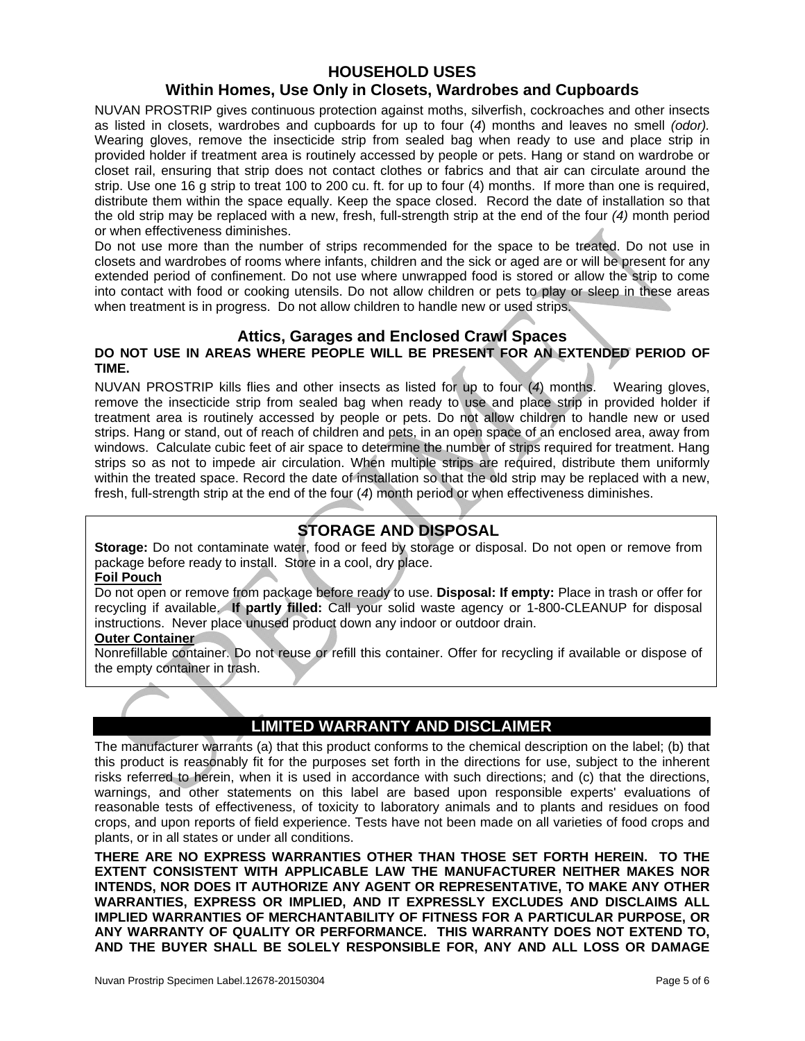## **HOUSEHOLD USES**

## **Within Homes, Use Only in Closets, Wardrobes and Cupboards**

NUVAN PROSTRIP gives continuous protection against moths, silverfish, cockroaches and other insects as listed in closets, wardrobes and cupboards for up to four (*4*) months and leaves no smell *(odor).* Wearing gloves, remove the insecticide strip from sealed bag when ready to use and place strip in provided holder if treatment area is routinely accessed by people or pets. Hang or stand on wardrobe or closet rail, ensuring that strip does not contact clothes or fabrics and that air can circulate around the strip. Use one 16 g strip to treat 100 to 200 cu. ft. for up to four (4) months. If more than one is required, distribute them within the space equally. Keep the space closed. Record the date of installation so that the old strip may be replaced with a new, fresh, full-strength strip at the end of the four *(4)* month period or when effectiveness diminishes.

Do not use more than the number of strips recommended for the space to be treated. Do not use in closets and wardrobes of rooms where infants, children and the sick or aged are or will be present for any extended period of confinement. Do not use where unwrapped food is stored or allow the strip to come into contact with food or cooking utensils. Do not allow children or pets to play or sleep in these areas when treatment is in progress. Do not allow children to handle new or used strips.

## **Attics, Garages and Enclosed Crawl Spaces**

#### **DO NOT USE IN AREAS WHERE PEOPLE WILL BE PRESENT FOR AN EXTENDED PERIOD OF TIME.**

NUVAN PROSTRIP kills flies and other insects as listed for up to four (*4*) months. Wearing gloves, remove the insecticide strip from sealed bag when ready to use and place strip in provided holder if treatment area is routinely accessed by people or pets. Do not allow children to handle new or used strips. Hang or stand, out of reach of children and pets, in an open space of an enclosed area, away from windows. Calculate cubic feet of air space to determine the number of strips required for treatment. Hang strips so as not to impede air circulation. When multiple strips are required, distribute them uniformly within the treated space. Record the date of installation so that the old strip may be replaced with a new, fresh, full-strength strip at the end of the four (*4*) month period or when effectiveness diminishes.

## **STORAGE AND DISPOSAL**

**Storage:** Do not contaminate water, food or feed by storage or disposal. Do not open or remove from package before ready to install. Store in a cool, dry place.

#### **Foil Pouch**

Do not open or remove from package before ready to use. **Disposal: If empty:** Place in trash or offer for recycling if available. **If partly filled:** Call your solid waste agency or 1-800-CLEANUP for disposal instructions. Never place unused product down any indoor or outdoor drain.

#### **Outer Container**

Nonrefillable container. Do not reuse or refill this container. Offer for recycling if available or dispose of the empty container in trash.

## **LIMITED WARRANTY AND DISCLAIMER**

The manufacturer warrants (a) that this product conforms to the chemical description on the label; (b) that this product is reasonably fit for the purposes set forth in the directions for use, subject to the inherent risks referred to herein, when it is used in accordance with such directions; and (c) that the directions, warnings, and other statements on this label are based upon responsible experts' evaluations of reasonable tests of effectiveness, of toxicity to laboratory animals and to plants and residues on food crops, and upon reports of field experience. Tests have not been made on all varieties of food crops and plants, or in all states or under all conditions.

**THERE ARE NO EXPRESS WARRANTIES OTHER THAN THOSE SET FORTH HEREIN. TO THE EXTENT CONSISTENT WITH APPLICABLE LAW THE MANUFACTURER NEITHER MAKES NOR INTENDS, NOR DOES IT AUTHORIZE ANY AGENT OR REPRESENTATIVE, TO MAKE ANY OTHER WARRANTIES, EXPRESS OR IMPLIED, AND IT EXPRESSLY EXCLUDES AND DISCLAIMS ALL IMPLIED WARRANTIES OF MERCHANTABILITY OF FITNESS FOR A PARTICULAR PURPOSE, OR ANY WARRANTY OF QUALITY OR PERFORMANCE. THIS WARRANTY DOES NOT EXTEND TO, AND THE BUYER SHALL BE SOLELY RESPONSIBLE FOR, ANY AND ALL LOSS OR DAMAGE**